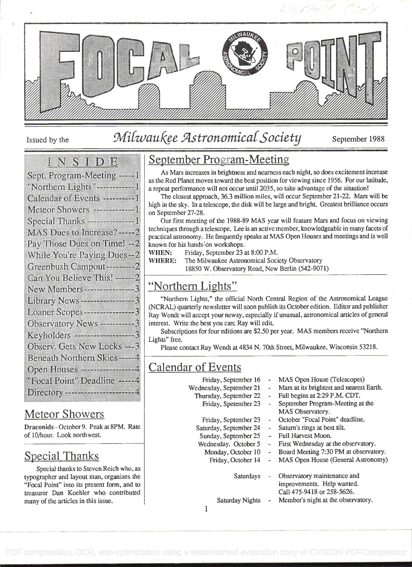

# Issued by the Milwaukee Astronomical Society September 1988

#### **IN THE REAL PROPERTY**

| Sept. Program-Meeting ------                     |
|--------------------------------------------------|
| "Northern Lights" ---------------                |
| Calendar of Events ---------                     |
| Meteor Showers <del>- - - - - - - - -</del> - 1  |
| Special Thanks ------------------                |
| MAS Dues to Increase?----2                       |
| Pay Those Dues on Time! --2                      |
| While You're Paying Dues --                      |
| Greenbush Campout -------- 2                     |
| Can You Believe This! ------2                    |
| New Members -----------------                    |
| Library News ----------------                    |
| Loaner Scopes -------------                      |
| Observatory News ------------                    |
| Keyholders -------------------                   |
| Observ. Gets New Locks ---                       |
| Beneath Northern Skies                           |
| Open Houses -----------------                    |
| "Focal Point" Deadline -----                     |
| Directory <del>- - - - - - - - - - - - - -</del> |
|                                                  |

## Meteor Showers

Draconids - October 9. Peak at 8PM. Rate of 10/hour. Look northwest.

# Special Thanks

Special thanks to Steven Reich who, as typographer and layout man, organizes the "Focal Point" into its present form, and to treasurer Dan Koehier who contributed many of the articles in this issue.

# September Program-Meeting

As Mars increases in brightness and nearness each night, so does excitement increase as the Red Planet moves toward the best position for viewing since 1956. For our latitude, a repeat performance will not occur until 2035, so take advantage of the situation!

The closest approach, 36.3 million miles, will occur September 21-22. Mars will be high in the sky. In a telescope, the disk will be large and bright. Greatest brilliance occurs on September 27-28.

Our first meeting of the 1988-89 MAS year will feature Mars and focus on viewing techniques through a telescope. Lee is an active member, knowledgeable in many facets of practical astronomy. He frequently speaks at MAS Open Houses and meetings and is well known for his hands-on workshops.

WHEN: Friday, September 23 at 8:00 P.M.

- WHERE: The Milwaukee Astronomical Society Observatory
	- 18850 W. Observatory Road, New Berlin (542-9071)

### "Northern Lights"

"Northern Lights," the official North Central Region of the Astronomical League (NCRAL) quarterly newsletter will soon publish its October edition. Editor and publisher Ray Wendt will accept your newsy, especially if unusual, astronomical articles of general interest. Write the best you can; Ray will edit.

Subscriptions for four editions are \$2.50 per year. MAS members receive "Northern Lights" free.

Please contact Ray Wendt at 4834 N. 70th Street, Milwaukee, Wisconsin 53218.

## Calendar of Events

| Friday, September 16     | $\frac{1}{2}$            | MAS Open House (Telescopes)                                                             |  |
|--------------------------|--------------------------|-----------------------------------------------------------------------------------------|--|
| Wednesday, September 21  |                          | Mars at its brightest and nearest Earth.                                                |  |
| Thursday, September 22   |                          | Fall begins at 2:29 P.M. CDT.                                                           |  |
| Friday, Spetember 23     | $\mathbf{m}$ .           | September Program-Meeting at the                                                        |  |
|                          |                          | MAS Observatory.                                                                        |  |
| Friday, September 23     | $\bullet$ .              | October "Focal Point" deadline.                                                         |  |
| Saturday, September 24   | $\rightarrow$            | Saturn's rings at best tilt.                                                            |  |
| Sunday, September 25     |                          | Full Harvest Moon.                                                                      |  |
| Wednesday, October 5     | $\sim$                   | First Wednesday at the observatory.                                                     |  |
| Monday, October 10       | $\overline{\phantom{a}}$ | Board Meeting 7:30 PM at observatory.                                                   |  |
| Friday, October 14<br>÷. |                          | MAS Open House (General Astronomy)                                                      |  |
| Saturdays                |                          | Observatory maintenance and<br>improvements. Help wanted.<br>Call 475-9418 or 258-5626. |  |
| Saturday Nights          |                          | Member's night at the observatory.                                                      |  |
|                          |                          |                                                                                         |  |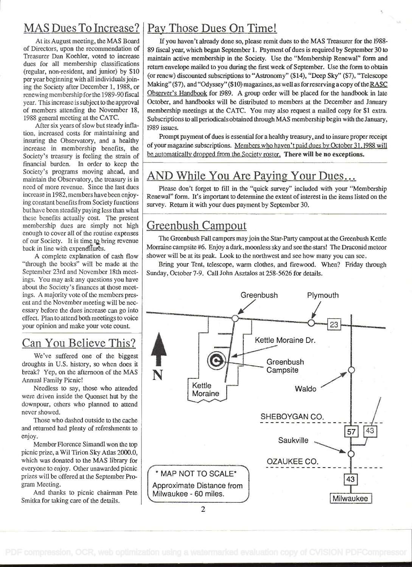# MAS Dues To Increase?

At its August meeting, the MAS Board of Directors, upon the recommendation of Treasurer Dan Koehier, voted to increase dues for all membership classifications (regular, non-resident, and junior) by \$10 per year beginning with all individuals joining the Society after December 1, 1988, or renewing membership for the 1989-90 fiscal year. This increase is subject to the approval of members attending the November 18, 1988 general meeting at the CATC.

After six years of slow but steady inflation, increased costs for maintaining and insuring the Observatory, and a healthy increase in membership benefits, the Society's treasury is feeling the strain of financial burden. In order to keep the Society's programs moving ahead, and maintain the Observatory, the treasury is in need of more revenue. Since the last dues increase in 1982, members havebeen enjoying constant benefits from Society functions but have been steadily paying less than what these benefits actually cost. The present membership dues are simply not high enough to cover all of the routine expenses of our Society. It is time to bring revenue back in line with expenditures.

A complete explanation of cash flow "through the books" will be made at the September 23rd and November 18th meetings. You may ask any questions you have about the Society's finances at those meetings. A majority vote of the members present and the November meeting will be nec essary before the dues increase can go into effect. Plan to attend both meetings to voice your opinion and make your vote count.

# Can You Believe This?

We've suffered one of the biggest droughts in U.S. history, so when does it break? Yep, on the afternoon of the MAS Annual Family Picnic!

Needless to say, those who attended were driven inside the Quonset hut by the downpour, others who planned to attend never showed.

Those who dashed outside to the cache and returned had plenty of refreshments to enjoy.

Member Florence Simandl won the top picnic prize, a Wil Tirion Sky Atlas 2000.0, which was donated to the MAS library for everyone to enjoy. Other unawarded picnic prizes will be offered at the September Program Meeting.

And thanks to picnic chairman Pete Smitka for taking care of the details.

# Pay Those Dues On Time!

If you haven't already done so, please remit dues to the MAS Treasurer for the 1988- 89 fiscal year, which began September 1. Payment of dues is required by September 30 to maintain active membership in the Society. Use the "Membership Renewal" form and return envelope mailed to you during the first week of September. Use the form to obtain (or renew) discounted subscriptions to "Astronomy" (\$14), "Deep Sky" (\$7), "Telescope Making" (\$7), and "Odyssey" (\$10) magazines, as well as for reserving a copy of the RASC Observer's Handbook for 1989. A group order will be placed for the handbook in late October, and handbooks will be distributed to members at the December and January membership meetings at the CATC. You may also request a mailed copy for \$1 extra. Subscriptions to all periodicals obtained through MAS membership begin with the January, 1989 issues.

Prompt payment of dues is essential for a healthy treasury, and to insure proper receipt of your magazine subscriptions. Members who haven't paid dues by October 31, 1988 will be automatically dropped from the Society roster. There will be no exceptions.

# AND While You Are Paying Your Dues...

Please don't forget to fill in the "quick survey" included with your "Membership Renewal" form. It's important to determine the extent of interest in the items listed on the survey. Return it with your dues payment by September 30.

# Greenbush Campout

The Greenbush Fall campers mayjoin the Star-Party campout at the Greenbush Kettle Morraine campsite #6. Enjoy a dark, moonless sky and see the stars! The Draconid meteor shower will be at its peak. Look to the northwest and see how many you can sec.

Bring your Tent, telescope, warm clothes, and firewood. When? Friday through Sunday, October 7-9. Call John Asztalos at 258-5626 for details.



2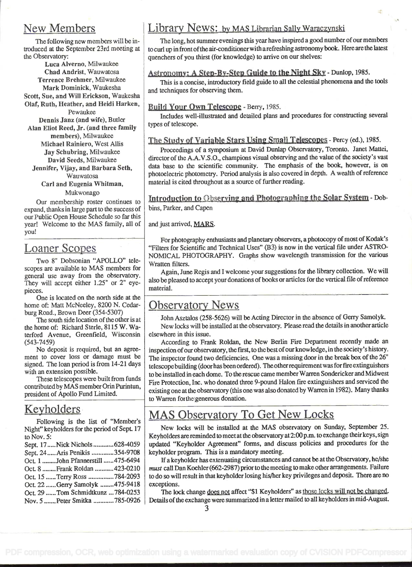### New Members

The following new members will be introduced at the September 23rd meeting at the Observatory:

Luca Alverno, Milwaukee Chad Andrist, Wauwatosa Terrence Brehmer, Milwaukee Mark Dominick, Waukesha Scott, Sue, and Will Erickson, Waukesha Olaf, Ruth, Heather, and Heidi Harken, Pewaukee

Dennis Janz (and wife), Butler Alan Eliot Reed, Jr. (and three family members), Milwaukee Michael Rainiero, West Allis Jay Schubring, Milwaukee

David Seeds, Milwaukee Jennifer, Vijay, and Barbara Seth, Wauwatosa

Carl and Eugenia Whitman,

Mukwonago

Our membership roster continues to expand, thanks in large part to the success of our Public Open House Schedule so far this year! Welcome to the MAS family, all of you!

### Loaner Scopes

Two 8" Dobsonian "APOLLO" telescopes are available to MAS members for general use away from the observatory. They will accept either 1.25" or 2" eyepieces.

One is located on the north side at the home of: Matt McNeeley, 8200 N. Cedarburg Road., Brown Deer (354-5307)

The south side location of the other is at the home of: Richard Sterle, 81 15 W. Waterford Avenue, Greenfield, Wisconsin (543-7459)

No deposit is required, but an agreement to cover loss or damage must be signed. The loan period is from 14-21 days with an extension possible.

These telescopes were built from funds contributedby MAS member Orin Purintun, president of Apollo Fund Limited.

#### Keyholders

Following is the list of "Member's Night" keyholders for the period of Sept. 17 to Nov. 5:

| Sept. 17  Nick Nichols  628-4059   | <b>up</b>     |
|------------------------------------|---------------|
| Sept. 24  Aris Penikis 354-9708    | key           |
| Oct. 1 John Pfannerstill 475-6494  |               |
| Oct. 8 Frank Roldan  423-0210      | mu            |
| Oct. 15  Terry Ross 784-2093       | $\frac{1}{2}$ |
| Oct. 22 Gerry Samolyk 475-9418     | exo           |
| Oct. 29  Tom Schmidtkunz  784-0253 |               |
| Nov. 5  Peter Smitka  785-0926     | De            |

#### Library News: by MAS Librarian Sally Waraczynski

The long, hot summer evenings this year have inspired a good number of our members to curl up in frontoftheair-conditionerwith arefreshing astronomy book. Here arethe latest quenchers of you thirst (for knowledge) to arrive on our shelves:

#### Astronomy: A Step-By-Step Guide to the Night Sky - Dunlop, 1985.

This is a concise, introductory field guide to all the celestial phenomena and the tools and techniques for observing them.

#### Build Your Own Teiescone - Berry, 1985.

Includes well-illustrated and detailed plans and procedures for constructing several types of telescope.

#### The Study of Variable Stars Using Small Telescopes - Percy (ed.), 1985.

Proceedings of a Symposium at David Dunlap Observatory, Toronto. Janet Mattei, director of the A.A.V.S .0., champions visual observing and the value of the society's vast data base to the scientific community. The emphasis of the book, however, is on photoelectric photometry. Period analysis is also covered in depth. A wealth of reference material is cited throughout as a source of further reading.

Introduction to Observing and Photographing the Solar System - Dobbins, Parker, and Capen

and just arrived, MARS.

For photography enthusiasts and planetary observers, a photocopy of most of Kodak's "Filters for Scientific and Technical Uses" (B3) is now in the vertical file under ASTRO-NOMICAL PHOTOGRAPHY. Graphs show wavelength transmission for the various Wratten filters.

Again, June Regis and I welcome your suggestions for the library collection. We will also be pleased to accept your donations of books or articles for the vertical file of reference material.

## Observatory News

John Asztalos (258-5626) will be Acting Director in the absence of Gerry Samolyk. New locks will be installed at the observatory. Please read the details in another article elsewhere in this issue.

According to Frank Roldan, the New Berlin Fire Department recently made an inspection of our observatory, the first, to the best of our knowledge, in the society's history. The inspector found two deficiencies. One was a missing door in the break box of the 26" telescope building (door has been ordered). The other requirement was for fire extinguishers to be installed in each dome. To therescue came memberWarren Sondericker and Midwest Fire Protection, Inc. who donated three 9-pound Halon fire extinguishers and serviced the existing one at the observatory (this one was also donated by Warren in 1982). Many thanks to Warren for the generous donation.

# MAS Observatory To Get New Locks

New locks will be installed at the MAS observatory on Sunday, September 25. Keyholders are reminded to meet at the observatory at 2:00 p.m. to exchange their keys, sign updated "Keyholder Agreement" forms, and discuss policies and procedures for the keyholder program. This is a mandatory meeting.

Ifa keyholder has extenuating circumstances and cannot be at the Observatory, he/she must call Dan Koehier (662-2987) prior to the meeting to make other arrangements. Failure to do so will result in that keyholder losing his/her key privileges and deposit. There are no exceptions.

The lock change does not affect "\$1 Keyholders" as those locks will not be changed. Details of the exchange were summarized in a letter mailed to all keyholders in mid-August.